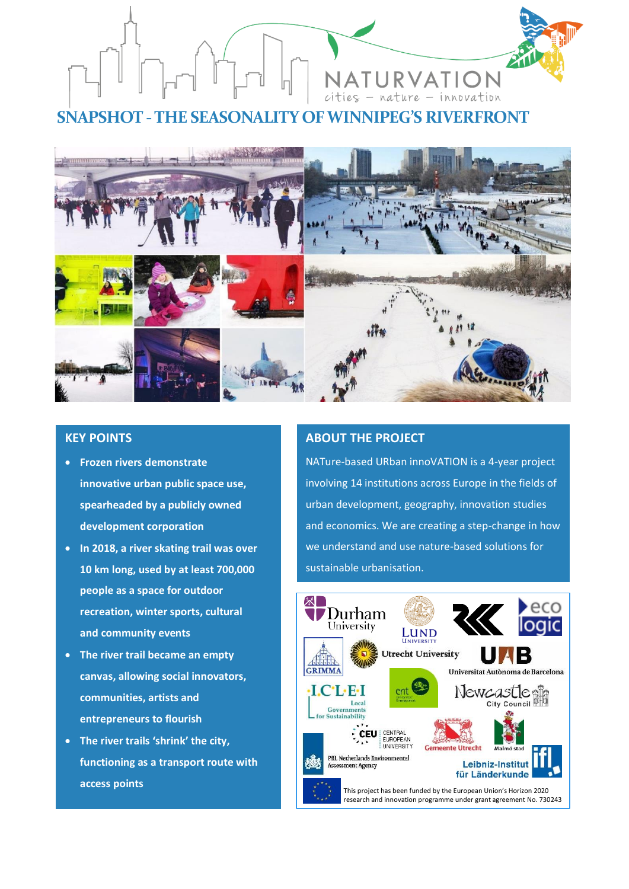

**SNAPSHOT -THE SEASONALITY OF WINNIPEG'S RIVERFRONT**



# **KEY POINTS**

- **Frozen rivers demonstrate innovative urban public space use, spearheaded by a publicly owned development corporation**
- **In 2018, a river skating trail was over 10 km long, used by at least 700,000 people as a space for outdoor recreation, winter sports, cultural and community events**
- **The river trail became an empty canvas, allowing social innovators, communities, artists and entrepreneurs to flourish**
- **The river trails 'shrink' the city, functioning as a transport route with access points**

# **ABOUT THE PROJECT**

NATure-based URban innoVATION is a 4-year project involving 14 institutions across Europe in the fields of urban development, geography, innovation studies and economics. We are creating a step-change in how we understand and use nature-based solutions for sustainable urbanisation.

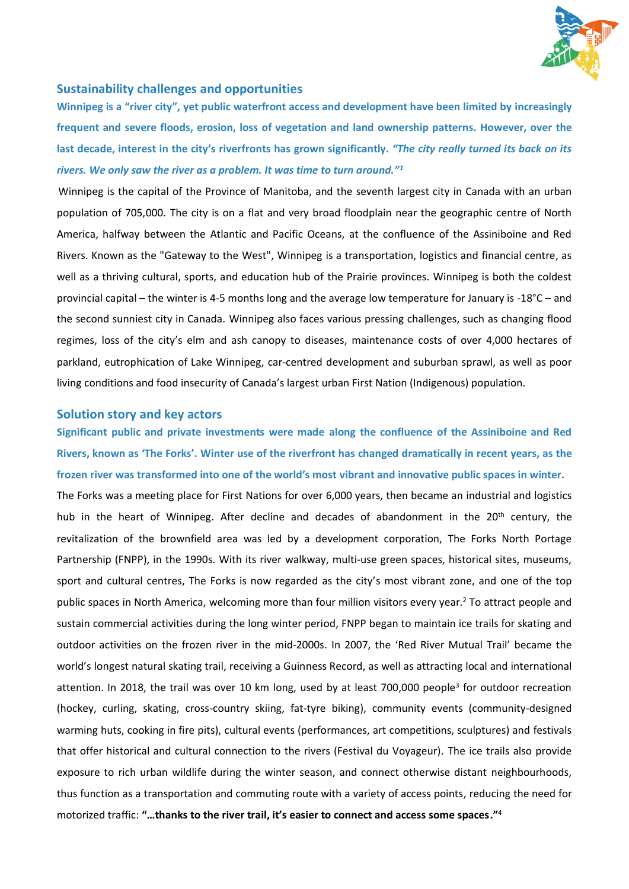

### **Sustainability challenges and opportunities**

**Winnipeg is a "river city", yet public waterfront access and development have been limited by increasingly frequent and severe floods, erosion, loss of vegetation and land ownership patterns. However, over the last decade, interest in the city's riverfronts has grown significantly.** *"The city really turned its back on its rivers. We only saw the river as a problem. It was time to turn around."<sup>1</sup>*

Winnipeg is the capital of the Province of Manitoba, and the seventh largest city in Canada with an urban population of 705,000. The city is on a flat and very broad floodplain near the geographic centre of North America, halfway between the Atlantic and Pacific Oceans, at the confluence of the Assiniboine and Red Rivers. Known as the "Gateway to the West", Winnipeg is a transportation, logistics and financial centre, as well as a thriving cultural, sports, and education hub of the Prairie provinces. Winnipeg is both the coldest provincial capital – the winter is 4-5 months long and the average low temperature for January is -18°C – and the second sunniest city in Canada. Winnipeg also faces various pressing challenges, such as changing flood regimes, loss of the city's elm and ash canopy to diseases, maintenance costs of over 4,000 hectares of parkland, eutrophication of Lake Winnipeg, car-centred development and suburban sprawl, as well as poor living conditions and food insecurity of Canada's largest urban First Nation (Indigenous) population.

### **Solution story and key actors**

**Significant public and private investments were made along the confluence of the Assiniboine and Red Rivers, known as 'The Forks'. Winter use of the riverfront has changed dramatically in recent years, as the frozen river was transformed into one of the world's most vibrant and innovative public spaces in winter.**

The Forks was a meeting place for First Nations for over 6,000 years, then became an industrial and logistics hub in the heart of Winnipeg. After decline and decades of abandonment in the 20<sup>th</sup> century, the revitalization of the brownfield area was led by a development corporation, The Forks North Portage Partnership (FNPP), in the 1990s. With its river walkway, multi-use green spaces, historical sites, museums, sport and cultural centres, The Forks is now regarded as the city's most vibrant zone, and one of the top public spaces in North America, welcoming more than four million visitors every year.<sup>2</sup> To attract people and sustain commercial activities during the long winter period, FNPP began to maintain ice trails for skating and outdoor activities on the frozen river in the mid-2000s. In 2007, the 'Red River Mutual Trail' became the world's longest natural skating trail, receiving a Guinness Record, as well as attracting local and international attention. In 2018, the trail was over 10 km long, used by at least 700,000 people<sup>3</sup> for outdoor recreation (hockey, curling, skating, cross-country skiing, fat-tyre biking), community events (community-designed warming huts, cooking in fire pits), cultural events (performances, art competitions, sculptures) and festivals that offer historical and cultural connection to the rivers (Festival du Voyageur). The ice trails also provide exposure to rich urban wildlife during the winter season, and connect otherwise distant neighbourhoods, thus function as a transportation and commuting route with a variety of access points, reducing the need for motorized traffic: **"…thanks to the river trail, it's easier to connect and access some spaces."** 4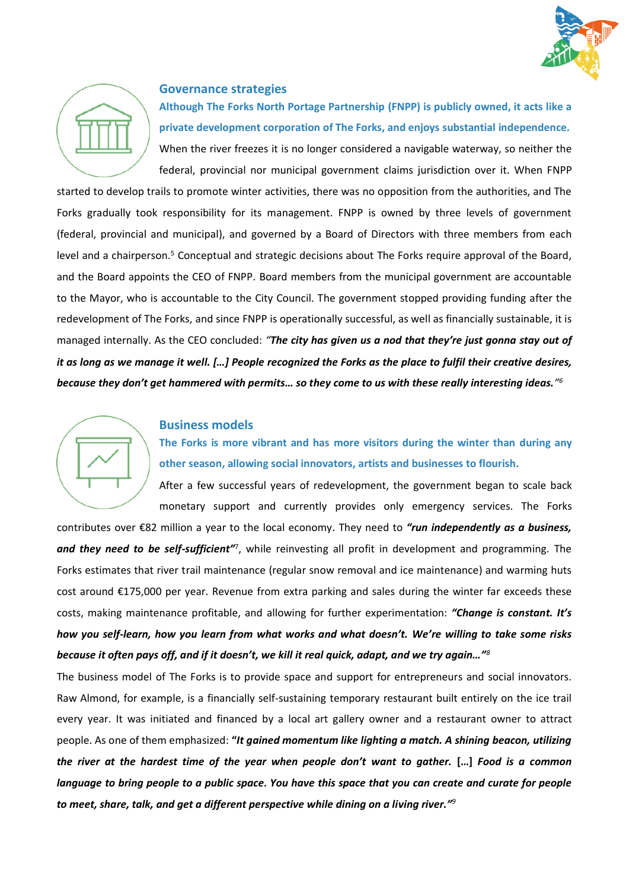



## **Governance strategies**

**Although The Forks North Portage Partnership (FNPP) is publicly owned, it acts like a private development corporation of The Forks, and enjoys substantial independence.**  When the river freezes it is no longer considered a navigable waterway, so neither the federal, provincial nor municipal government claims jurisdiction over it. When FNPP

started to develop trails to promote winter activities, there was no opposition from the authorities, and The Forks gradually took responsibility for its management. FNPP is owned by three levels of government (federal, provincial and municipal), and governed by a Board of Directors with three members from each level and a chairperson.<sup>5</sup> Conceptual and strategic decisions about The Forks require approval of the Board, and the Board appoints the CEO of FNPP. Board members from the municipal government are accountable to the Mayor, who is accountable to the City Council. The government stopped providing funding after the redevelopment of The Forks, and since FNPP is operationally successful, as well as financially sustainable, it is managed internally. As the CEO concluded: *"The city has given us a nod that they're just gonna stay out of it as long as we manage it well. […] People recognized the Forks as the place to fulfil their creative desires, because they don't get hammered with permits… so they come to us with these really interesting ideas." 6*

# **Business models**

**The Forks is more vibrant and has more visitors during the winter than during any other season, allowing social innovators, artists and businesses to flourish.**

After a few successful years of redevelopment, the government began to scale back monetary support and currently provides only emergency services. The Forks

contributes over €82 million a year to the local economy. They need to *"run independently as a business,*  and they need to be self-sufficient<sup>17</sup>, while reinvesting all profit in development and programming. The Forks estimates that river trail maintenance (regular snow removal and ice maintenance) and warming huts cost around €175,000 per year. Revenue from extra parking and sales during the winter far exceeds these costs, making maintenance profitable, and allowing for further experimentation: *"Change is constant. It's how you self-learn, how you learn from what works and what doesn't. We're willing to take some risks because it often pays off, and if it doesn't, we kill it real quick, adapt, and we try again…"<sup>8</sup>*

The business model of The Forks is to provide space and support for entrepreneurs and social innovators. Raw Almond, for example, is a financially self-sustaining temporary restaurant built entirely on the ice trail every year. It was initiated and financed by a local art gallery owner and a restaurant owner to attract people. As one of them emphasized: **"***It gained momentum like lighting a match. A shining beacon, utilizing the river at the hardest time of the year when people don't want to gather.* **[…]** *Food is a common language to bring people to a public space. You have this space that you can create and curate for people to meet, share, talk, and get a different perspective while dining on a living river." 9*